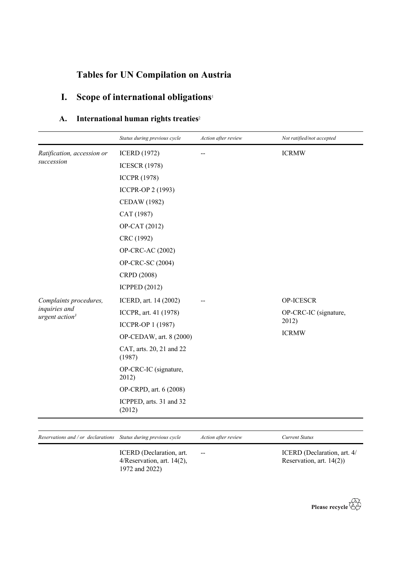# **Tables for UN Compilation on Austria**

# **I. Scope of international obligations**<sup>1</sup>

## **A. International human rights treaties**<sup>2</sup>

|                                             | Status during previous cycle       | Action after review | Not ratified/not accepted |
|---------------------------------------------|------------------------------------|---------------------|---------------------------|
| Ratification, accession or                  | <b>ICERD</b> (1972)                | --                  | <b>ICRMW</b>              |
| succession                                  | <b>ICESCR (1978)</b>               |                     |                           |
|                                             | <b>ICCPR (1978)</b>                |                     |                           |
|                                             | ICCPR-OP 2 (1993)                  |                     |                           |
|                                             | <b>CEDAW</b> (1982)                |                     |                           |
|                                             | CAT (1987)                         |                     |                           |
|                                             | OP-CAT (2012)                      |                     |                           |
|                                             | CRC (1992)                         |                     |                           |
|                                             | OP-CRC-AC (2002)                   |                     |                           |
|                                             | OP-CRC-SC (2004)                   |                     |                           |
|                                             | CRPD (2008)                        |                     |                           |
|                                             | <b>ICPPED (2012)</b>               |                     |                           |
| Complaints procedures,                      | ICERD, art. 14 (2002)              |                     | OP-ICESCR                 |
| inquiries and<br>urgent action <sup>3</sup> | ICCPR, art. 41 (1978)              |                     | OP-CRC-IC (signature,     |
|                                             | <b>ICCPR-OP 1 (1987)</b>           |                     | 2012)                     |
|                                             | OP-CEDAW, art. 8 (2000)            |                     | <b>ICRMW</b>              |
|                                             | CAT, arts. 20, 21 and 22<br>(1987) |                     |                           |
|                                             | OP-CRC-IC (signature,<br>2012)     |                     |                           |
|                                             | OP-CRPD, art. 6 (2008)             |                     |                           |
|                                             | ICPPED, arts. 31 and 32<br>(2012)  |                     |                           |

| Reservations and / or declarations Status during previous cycle |                                                                             | Action after review      | Current Status                                             |
|-----------------------------------------------------------------|-----------------------------------------------------------------------------|--------------------------|------------------------------------------------------------|
|                                                                 | ICERD (Declaration, art.<br>$4/R$ eservation, art. 14(2),<br>1972 and 2022) | $\overline{\phantom{m}}$ | ICERD (Declaration, art. 4/<br>Reservation, art. $14(2)$ ) |

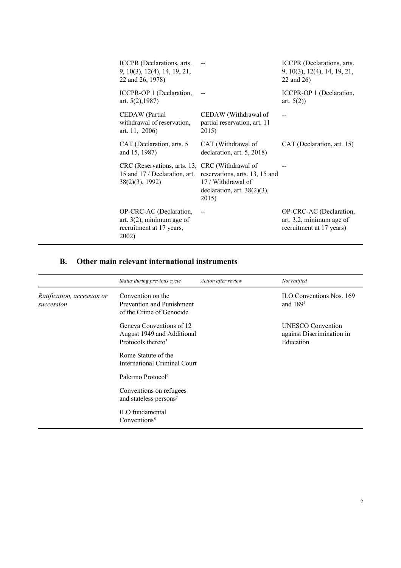| ICCPR (Declarations, arts.<br>9, 10(3), 12(4), 14, 19, 21,<br>22 and 26, 1978)               |                                                                                                                               | ICCPR (Declarations, arts.<br>9, 10(3), 12(4), 14, 19, 21,<br>22 and 26)        |
|----------------------------------------------------------------------------------------------|-------------------------------------------------------------------------------------------------------------------------------|---------------------------------------------------------------------------------|
| ICCPR-OP 1 (Declaration,<br>art. $5(2), 1987$                                                |                                                                                                                               | ICCPR-OP 1 (Declaration,<br>art. $5(2)$                                         |
| CEDAW (Partial<br>withdrawal of reservation,<br>art. $11, 2006$                              | CEDAW (Withdrawal of<br>partial reservation, art. 11<br>2015)                                                                 |                                                                                 |
| CAT (Declaration, arts. 5<br>and 15, 1987)                                                   | CAT (Withdrawal of<br>declaration, art. 5, 2018)                                                                              | CAT (Declaration, art. 15)                                                      |
| CRC (Reservations, arts. 13, CRC (Withdrawal of<br>$38(2)(3)$ , 1992)                        | 15 and 17 / Declaration, art. reservations, arts. 13, 15 and<br>17 / Withdrawal of<br>declaration, art. $38(2)(3)$ ,<br>2015) |                                                                                 |
| OP-CRC-AC (Declaration,<br>art. $3(2)$ , minimum age of<br>recruitment at 17 years,<br>2002) |                                                                                                                               | OP-CRC-AC (Declaration,<br>art. 3.2, minimum age of<br>recruitment at 17 years) |

### **B. Other main relevant international instruments**

|                                          | Status during previous cycle                                                             | Action after review | Not ratified                                                |
|------------------------------------------|------------------------------------------------------------------------------------------|---------------------|-------------------------------------------------------------|
| Ratification, accession or<br>succession | Convention on the<br>Prevention and Punishment<br>of the Crime of Genocide               |                     | ILO Conventions Nos. 169<br>and $1894$                      |
|                                          | Geneva Conventions of 12<br>August 1949 and Additional<br>Protocols thereto <sup>5</sup> |                     | UNESCO Convention<br>against Discrimination in<br>Education |
|                                          | Rome Statute of the<br>International Criminal Court                                      |                     |                                                             |
|                                          | Palermo Protocol <sup>6</sup>                                                            |                     |                                                             |
|                                          | Conventions on refugees<br>and stateless persons <sup>7</sup>                            |                     |                                                             |
|                                          | ILO fundamental<br>Conventions <sup>8</sup>                                              |                     |                                                             |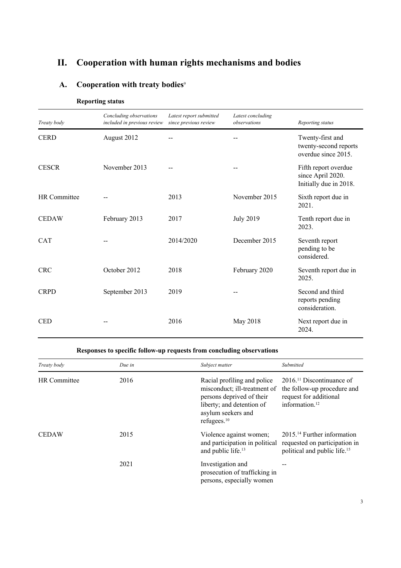## **II. Cooperation with human rights mechanisms and bodies**

### **A. Cooperation with treaty bodies**<sup>9</sup>

| Treaty body         | Concluding observations<br>included in previous review | Latest report submitted<br>since previous review | Latest concluding<br>observations | Reporting status                                                    |
|---------------------|--------------------------------------------------------|--------------------------------------------------|-----------------------------------|---------------------------------------------------------------------|
| <b>CERD</b>         | August 2012                                            |                                                  |                                   | Twenty-first and<br>twenty-second reports<br>overdue since 2015.    |
| <b>CESCR</b>        | November 2013                                          |                                                  |                                   | Fifth report overdue<br>since April 2020.<br>Initially due in 2018. |
| <b>HR</b> Committee |                                                        | 2013                                             | November 2015                     | Sixth report due in<br>2021.                                        |
| <b>CEDAW</b>        | February 2013                                          | 2017                                             | <b>July 2019</b>                  | Tenth report due in<br>2023.                                        |
| <b>CAT</b>          |                                                        | 2014/2020                                        | December 2015                     | Seventh report<br>pending to be<br>considered.                      |
| <b>CRC</b>          | October 2012                                           | 2018                                             | February 2020                     | Seventh report due in<br>2025.                                      |
| <b>CRPD</b>         | September 2013                                         | 2019                                             |                                   | Second and third<br>reports pending<br>consideration.               |
| <b>CED</b>          |                                                        | 2016                                             | May 2018                          | Next report due in<br>2024.                                         |

### **Reporting status**

### **Responses to specific follow-up requests from concluding observations**

| Treaty body  | Due in | Subject matter                                                                                                                                                         | Submitted                                                                                                                     |
|--------------|--------|------------------------------------------------------------------------------------------------------------------------------------------------------------------------|-------------------------------------------------------------------------------------------------------------------------------|
| HR Committee | 2016   | Racial profiling and police<br>misconduct; ill-treatment of<br>persons deprived of their<br>liberty; and detention of<br>asylum seekers and<br>refugees. <sup>10</sup> | $2016$ <sup>11</sup> Discontinuance of<br>the follow-up procedure and<br>request for additional<br>information. <sup>12</sup> |
| <b>CEDAW</b> | 2015   | Violence against women;<br>and participation in political<br>and public life. <sup>13</sup>                                                                            | 2015. <sup>14</sup> Further information<br>requested on participation in<br>political and public life. <sup>15</sup>          |
|              | 2021   | Investigation and<br>prosecution of trafficking in<br>persons, especially women                                                                                        |                                                                                                                               |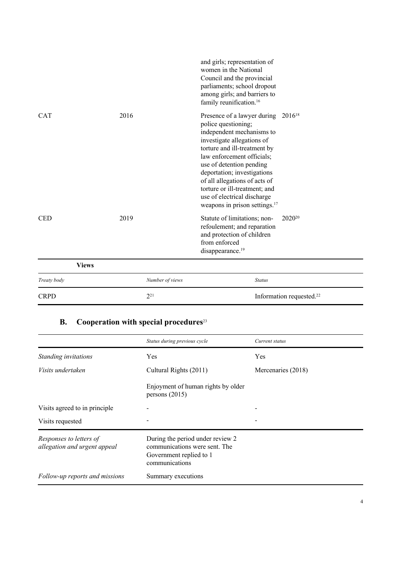|              |      |                 | and girls; representation of<br>women in the National<br>Council and the provincial<br>parliaments; school dropout<br>among girls; and barriers to<br>family reunification. <sup>16</sup>                                                                                                                                                                                            |                                      |
|--------------|------|-----------------|--------------------------------------------------------------------------------------------------------------------------------------------------------------------------------------------------------------------------------------------------------------------------------------------------------------------------------------------------------------------------------------|--------------------------------------|
| <b>CAT</b>   | 2016 |                 | Presence of a lawyer during<br>police questioning;<br>independent mechanisms to<br>investigate allegations of<br>torture and ill-treatment by<br>law enforcement officials;<br>use of detention pending<br>deportation; investigations<br>of all allegations of acts of<br>torture or ill-treatment; and<br>use of electrical discharge<br>weapons in prison settings. <sup>17</sup> | 2016 <sup>18</sup>                   |
| <b>CED</b>   | 2019 |                 | Statute of limitations; non-<br>refoulement; and reparation<br>and protection of children<br>from enforced<br>disappearance. <sup>19</sup>                                                                                                                                                                                                                                           | $2020^{20}$                          |
| <b>Views</b> |      |                 |                                                                                                                                                                                                                                                                                                                                                                                      |                                      |
| Treaty body  |      | Number of views | <b>Status</b>                                                                                                                                                                                                                                                                                                                                                                        |                                      |
| <b>CRPD</b>  |      | $2^{21}$        |                                                                                                                                                                                                                                                                                                                                                                                      | Information requested. <sup>22</sup> |

### **B. Cooperation with special procedures**<sup>23</sup>

|                                                         | Status during previous cycle                                                                                   | Current status     |
|---------------------------------------------------------|----------------------------------------------------------------------------------------------------------------|--------------------|
| Standing invitations                                    | Yes                                                                                                            | Yes                |
| Visits undertaken                                       | Cultural Rights (2011)                                                                                         | Mercenaries (2018) |
|                                                         | Enjoyment of human rights by older<br>persons $(2015)$                                                         |                    |
| Visits agreed to in principle                           |                                                                                                                |                    |
| Visits requested                                        |                                                                                                                |                    |
| Responses to letters of<br>allegation and urgent appeal | During the period under review 2<br>communications were sent. The<br>Government replied to 1<br>communications |                    |
| Follow-up reports and missions                          | Summary executions                                                                                             |                    |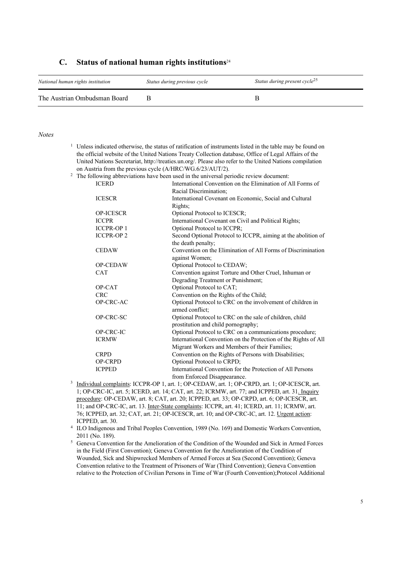### **C. Status of national human rights institutions**<sup>24</sup>

| National human rights institution | Status during previous cycle | Status during present cycle <sup>25</sup> |
|-----------------------------------|------------------------------|-------------------------------------------|
| The Austrian Ombudsman Board      |                              |                                           |

#### *Notes*

| $1$ Unless indicated otherwise, the status of ratification of instruments listed in the table may be found on |
|---------------------------------------------------------------------------------------------------------------|
| the official website of the United Nations Treaty Collection database, Office of Legal Affairs of the         |
| United Nations Secretariat, http://treaties.un.org/. Please also refer to the United Nations compilation      |
| on Austria from the previous cycle (A/HRC/WG.6/23/AUT/2).                                                     |
| <sup>2</sup> The following abbreviations have been used in the universal periodic review document:            |

| <b>ICERD</b>     | International Convention on the Elimination of All Forms of     |
|------------------|-----------------------------------------------------------------|
|                  | Racial Discrimination;                                          |
| <b>ICESCR</b>    | International Covenant on Economic, Social and Cultural         |
|                  | Rights;                                                         |
| <b>OP-ICESCR</b> | Optional Protocol to ICESCR;                                    |
| <b>ICCPR</b>     | International Covenant on Civil and Political Rights;           |
| <b>ICCPR-OP1</b> | Optional Protocol to ICCPR;                                     |
| <b>ICCPR-OP2</b> | Second Optional Protocol to ICCPR, aiming at the abolition of   |
|                  | the death penalty;                                              |
| <b>CEDAW</b>     | Convention on the Elimination of All Forms of Discrimination    |
|                  | against Women;                                                  |
| <b>OP-CEDAW</b>  | Optional Protocol to CEDAW;                                     |
| <b>CAT</b>       | Convention against Torture and Other Cruel, Inhuman or          |
|                  | Degrading Treatment or Punishment;                              |
| OP-CAT           | Optional Protocol to CAT;                                       |
| <b>CRC</b>       | Convention on the Rights of the Child;                          |
| OP-CRC-AC        | Optional Protocol to CRC on the involvement of children in      |
|                  | armed conflict;                                                 |
| OP-CRC-SC        | Optional Protocol to CRC on the sale of children, child         |
|                  | prostitution and child pornography;                             |
| OP-CRC-IC        | Optional Protocol to CRC on a communications procedure;         |
| <b>ICRMW</b>     | International Convention on the Protection of the Rights of All |
|                  | Migrant Workers and Members of their Families;                  |
| <b>CRPD</b>      | Convention on the Rights of Persons with Disabilities;          |
| <b>OP-CRPD</b>   | Optional Protocol to CRPD;                                      |
| <b>ICPPED</b>    | International Convention for the Protection of All Persons      |
|                  | from Enforced Disappearance.                                    |

<sup>3</sup> Individual complaints: ICCPR-OP 1, art. 1; OP-CEDAW, art. 1; OP-CRPD, art. 1; OP-ICESCR, art. 1; OP-CRC-IC, art. 5; ICERD, art. 14; CAT, art. 22; ICRMW, art. 77; and ICPPED, art. 31. Inquiry procedure: OP-CEDAW, art. 8; CAT, art. 20; ICPPED, art. 33; OP-CRPD, art. 6; OP-ICESCR, art. 11; and OP-CRC-IC, art. 13. Inter-State complaints: ICCPR, art. 41; ICERD, art. 11; ICRMW, art. 76; ICPPED, art. 32; CAT, art. 21; OP-ICESCR, art. 10; and OP-CRC-IC, art. 12. Urgent action: ICPPED, art. 30.

<sup>5</sup> Geneva Convention for the Amelioration of the Condition of the Wounded and Sick in Armed Forces in the Field (First Convention); Geneva Convention for the Amelioration of the Condition of Wounded, Sick and Shipwrecked Members of Armed Forces at Sea (Second Convention); Geneva Convention relative to the Treatment of Prisoners of War (Third Convention); Geneva Convention relative to the Protection of Civilian Persons in Time of War (Fourth Convention);Protocol Additional

<sup>4</sup> ILO Indigenous and Tribal Peoples Convention, 1989 (No. 169) and Domestic Workers Convention, 2011 (No. 189).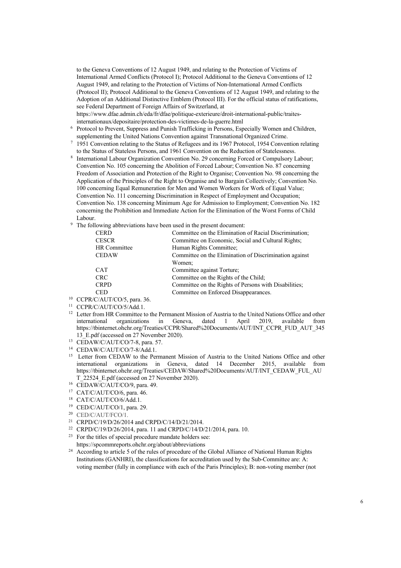to the Geneva Conventions of 12 August 1949, and relating to the Protection of Victims of International Armed Conflicts (Protocol I); Protocol Additional to the Geneva Conventions of 12 August 1949, and relating to the Protection of Victims of Non-International Armed Conflicts (Protocol II); Protocol Additional to the Geneva Conventions of 12 August 1949, and relating to the Adoption of an Additional Distinctive Emblem (Protocol III). For the official status of ratifications, see Federal Department of Foreign Affairs of Switzerland, at https://www.dfae.admin.ch/eda/fr/dfae/politique-exterieure/droit-international-public/traites-

- internationaux/depositaire/protection-des-victimes-de-la-guerre.html
- <sup>6</sup> Protocol to Prevent, Suppress and Punish Trafficking in Persons, Especially Women and Children, supplementing the United Nations Convention against Transnational Organized Crime.
- <sup>7</sup> 1951 Convention relating to the Status of Refugees and its 1967 Protocol, 1954 Convention relating to the Status of Stateless Persons, and 1961 Convention on the Reduction of Statelessness.
- <sup>8</sup> International Labour Organization Convention No. 29 concerning Forced or Compulsory Labour; Convention No. 105 concerning the Abolition of Forced Labour; Convention No. 87 concerning Freedom of Association and Protection of the Right to Organise; Convention No. 98 concerning the Application of the Principles of the Right to Organise and to Bargain Collectively; Convention No. 100 concerning Equal Remuneration for Men and Women Workers for Work of Equal Value; Convention No. 111 concerning Discrimination in Respect of Employment and Occupation; Convention No. 138 concerning Minimum Age for Admission to Employment; Convention No. 182 concerning the Prohibition and Immediate Action for the Elimination of the Worst Forms of Child Labour.
- <sup>9</sup> The following abbreviations have been used in the present document:

| <b>CERD</b>         | Committee on the Elimination of Racial Discrimination; |
|---------------------|--------------------------------------------------------|
| <b>CESCR</b>        | Committee on Economic, Social and Cultural Rights;     |
| <b>HR</b> Committee | Human Rights Committee;                                |
| <b>CEDAW</b>        | Committee on the Elimination of Discrimination against |
|                     | Women;                                                 |
| <b>CAT</b>          | Committee against Torture;                             |
| <b>CRC</b>          | Committee on the Rights of the Child;                  |
| <b>CRPD</b>         | Committee on the Rights of Persons with Disabilities;  |
| <b>CED</b>          | Committee on Enforced Disappearances.                  |

- <sup>10</sup> CCPR/C/AUT/CO/5, para. 36.
- <sup>11</sup> CCPR/C/AUT/CO/5/Add.1.
- <sup>12</sup> Letter from HR Committee to the Permanent Mission of Austria to the United Nations Office and other international organizations in Geneva, dated 1 April 2019, available from https://tbinternet.ohchr.org/Treaties/CCPR/Shared%20Documents/AUT/INT\_CCPR\_FUD\_AUT\_345 13\_E.pdf (accessed on 27 November 2020).
- <sup>13</sup> CEDAW/C/AUT/CO/7-8, para. 57.
- <sup>14</sup> CEDAW/C/AUT/CO/7-8/Add.1.
- <sup>15</sup> Letter from CEDAW to the Permanent Mission of Austria to the United Nations Office and other international organizations in Geneva, dated 14 December 2015, available from https://tbinternet.ohchr.org/Treaties/CEDAW/Shared%20Documents/AUT/INT\_CEDAW\_FUL\_AU T\_22524\_E.pdf (accessed on 27 November 2020).
- <sup>16</sup> CEDAW/C/AUT/CO/9, para. 49.
- <sup>17</sup> CAT/C/AUT/CO/6, para. 46.
- <sup>18</sup> CAT/C/AUT/CO/6/Add.1.
- <sup>19</sup> CED/C/AUT/CO/1, para. 29.
- <sup>20</sup> CED/C/AUT/FCO/1.
- <sup>21</sup> CRPD/C/19/D/26/2014 and CRPD/C/14/D/21/2014.
- <sup>22</sup> CRPD/C/19/D/26/2014, para. 11 and CRPD/C/14/D/21/2014, para. 10.
- <sup>23</sup> For the titles of special procedure mandate holders see: https://spcommreports.ohchr.org/about/abbreviations
- <sup>24</sup> According to article 5 of the rules of procedure of the Global Alliance of National Human Rights Institutions (GANHRI), the classifications for accreditation used by the Sub-Committee are: A: voting member (fully in compliance with each of the Paris Principles); B: non-voting member (not